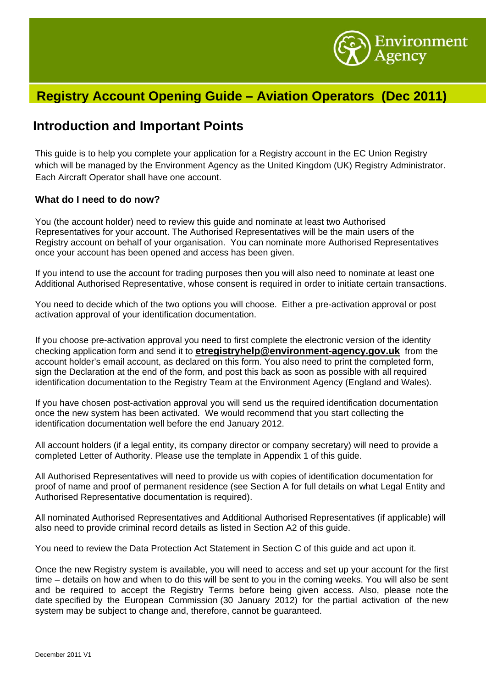

## **Registry Account Opening Guide – Aviation Operators (Dec 2011)**

## **Introduction and Important Points**

This guide is to help you complete your application for a Registry account in the EC Union Registry which will be managed by the Environment Agency as the United Kingdom (UK) Registry Administrator. Each Aircraft Operator shall have one account.

#### **What do I need to do now?**

You (the account holder) need to review this guide and nominate at least two Authorised Representatives for your account. The Authorised Representatives will be the main users of the Registry account on behalf of your organisation. You can nominate more Authorised Representatives once your account has been opened and access has been given.

If you intend to use the account for trading purposes then you will also need to nominate at least one Additional Authorised Representative, whose consent is required in order to initiate certain transactions.

You need to decide which of the two options you will choose. Either a pre-activation approval or post activation approval of your identification documentation.

If you choose pre-activation approval you need to first complete the electronic version of the identity checking application form and send it to **etregistryhelp@environment-agency.gov.uk** from the account holder's email account, as declared on this form. You also need to print the completed form, sign the Declaration at the end of the form, and post this back as soon as possible with all required identification documentation to the Registry Team at the Environment Agency (England and Wales).

If you have chosen post-activation approval you will send us the required identification documentation once the new system has been activated. We would recommend that you start collecting the identification documentation well before the end January 2012.

All account holders (if a legal entity, its company director or company secretary) will need to provide a completed Letter of Authority. Please use the template in Appendix 1 of this guide.

All Authorised Representatives will need to provide us with copies of identification documentation for proof of name and proof of permanent residence (see Section A for full details on what Legal Entity and Authorised Representative documentation is required).

All nominated Authorised Representatives and Additional Authorised Representatives (if applicable) will also need to provide criminal record details as listed in Section A2 of this guide.

You need to review the Data Protection Act Statement in Section C of this guide and act upon it.

Once the new Registry system is available, you will need to access and set up your account for the first time – details on how and when to do this will be sent to you in the coming weeks. You will also be sent and be required to accept the Registry Terms before being given access. Also, please note the date specified by the European Commission (30 January 2012) for the partial activation of the new system may be subject to change and, therefore, cannot be guaranteed.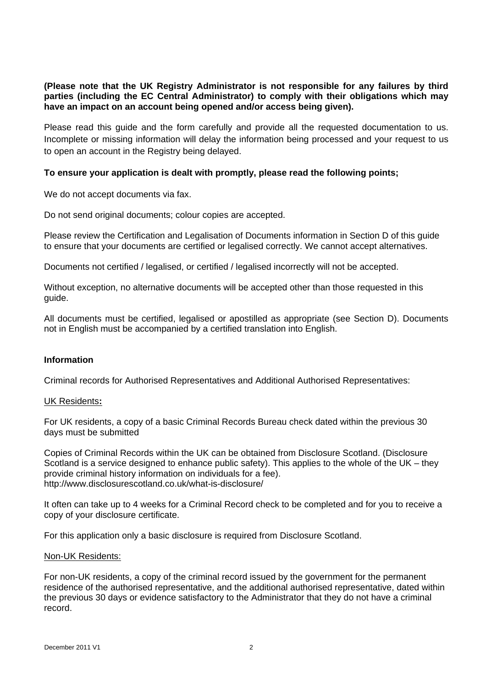**(Please note that the UK Registry Administrator is not responsible for any failures by third parties (including the EC Central Administrator) to comply with their obligations which may have an impact on an account being opened and/or access being given).** 

Please read this guide and the form carefully and provide all the requested documentation to us. Incomplete or missing information will delay the information being processed and your request to us to open an account in the Registry being delayed.

#### **To ensure your application is dealt with promptly, please read the following points;**

We do not accept documents via fax.

Do not send original documents; colour copies are accepted.

Please review the Certification and Legalisation of Documents information in Section D of this guide to ensure that your documents are certified or legalised correctly. We cannot accept alternatives.

Documents not certified / legalised, or certified / legalised incorrectly will not be accepted.

Without exception, no alternative documents will be accepted other than those requested in this guide.

All documents must be certified, legalised or apostilled as appropriate (see Section D). Documents not in English must be accompanied by a certified translation into English.

#### **Information**

Criminal records for Authorised Representatives and Additional Authorised Representatives:

#### UK Residents**:**

For UK residents, a copy of a basic Criminal Records Bureau check dated within the previous 30 days must be submitted

Copies of Criminal Records within the UK can be obtained from Disclosure Scotland. (Disclosure Scotland is a service designed to enhance public safety). This applies to the whole of the UK – they provide criminal history information on individuals for a fee). http://www.disclosurescotland.co.uk/what-is-disclosure/

It often can take up to 4 weeks for a Criminal Record check to be completed and for you to receive a copy of your disclosure certificate.

For this application only a basic disclosure is required from Disclosure Scotland.

#### Non-UK Residents:

For non-UK residents, a copy of the criminal record issued by the government for the permanent residence of the authorised representative, and the additional authorised representative, dated within the previous 30 days or evidence satisfactory to the Administrator that they do not have a criminal record.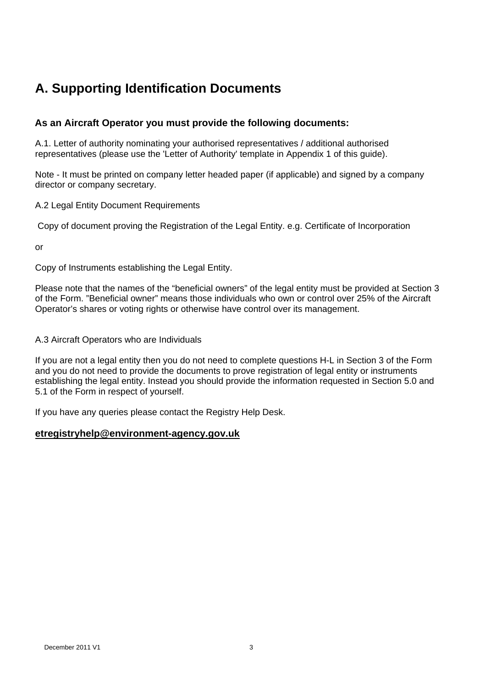# **A. Supporting Identification Documents**

### **As an Aircraft Operator you must provide the following documents:**

A.1. Letter of authority nominating your authorised representatives / additional authorised representatives (please use the 'Letter of Authority' template in Appendix 1 of this guide).

Note - It must be printed on company letter headed paper (if applicable) and signed by a company director or company secretary.

A.2 Legal Entity Document Requirements

Copy of document proving the Registration of the Legal Entity. e.g. Certificate of Incorporation

or

Copy of Instruments establishing the Legal Entity.

Please note that the names of the "beneficial owners" of the legal entity must be provided at Section 3 of the Form. "Beneficial owner" means those individuals who own or control over 25% of the Aircraft Operator's shares or voting rights or otherwise have control over its management.

#### A.3 Aircraft Operators who are Individuals

If you are not a legal entity then you do not need to complete questions H-L in Section 3 of the Form and you do not need to provide the documents to prove registration of legal entity or instruments establishing the legal entity. Instead you should provide the information requested in Section 5.0 and 5.1 of the Form in respect of yourself.

If you have any queries please contact the Registry Help Desk.

### **etregistryhelp@environment-agency.gov.uk**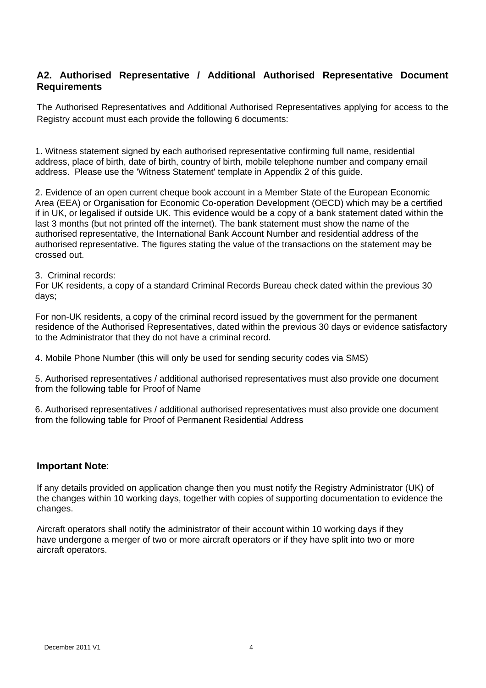### **A2. Authorised Representative / Additional Authorised Representative Document Requirements**

The Authorised Representatives and Additional Authorised Representatives applying for access to the Registry account must each provide the following 6 documents:

1. Witness statement signed by each authorised representative confirming full name, residential address, place of birth, date of birth, country of birth, mobile telephone number and company email address. Please use the 'Witness Statement' template in Appendix 2 of this guide.

2. Evidence of an open current cheque book account in a Member State of the European Economic Area (EEA) or Organisation for Economic Co-operation Development (OECD) which may be a certified if in UK, or legalised if outside UK. This evidence would be a copy of a bank statement dated within the last 3 months (but not printed off the internet). The bank statement must show the name of the authorised representative, the International Bank Account Number and residential address of the authorised representative. The figures stating the value of the transactions on the statement may be crossed out.

3. Criminal records:

For UK residents, a copy of a standard Criminal Records Bureau check dated within the previous 30 days;

For non-UK residents, a copy of the criminal record issued by the government for the permanent residence of the Authorised Representatives, dated within the previous 30 days or evidence satisfactory to the Administrator that they do not have a criminal record.

4. Mobile Phone Number (this will only be used for sending security codes via SMS)

5. Authorised representatives / additional authorised representatives must also provide one document from the following table for Proof of Name

6. Authorised representatives / additional authorised representatives must also provide one document from the following table for Proof of Permanent Residential Address

#### **Important Note**:

If any details provided on application change then you must notify the Registry Administrator (UK) of the changes within 10 working days, together with copies of supporting documentation to evidence the changes.

Aircraft operators shall notify the administrator of their account within 10 working days if they have undergone a merger of two or more aircraft operators or if they have split into two or more aircraft operators.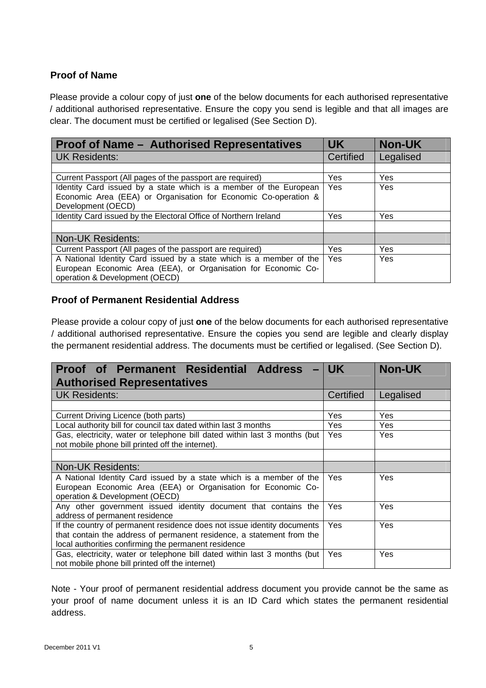## **Proof of Name**

Please provide a colour copy of just **one** of the below documents for each authorised representative / additional authorised representative. Ensure the copy you send is legible and that all images are clear. The document must be certified or legalised (See Section D).

| <b>Proof of Name - Authorised Representatives</b>                                                                                                                       | <b>UK</b>        | <b>Non-UK</b> |
|-------------------------------------------------------------------------------------------------------------------------------------------------------------------------|------------------|---------------|
| <b>UK Residents:</b>                                                                                                                                                    | <b>Certified</b> | Legalised     |
|                                                                                                                                                                         |                  |               |
| Current Passport (All pages of the passport are required)                                                                                                               | Yes              | <b>Yes</b>    |
| Identity Card issued by a state which is a member of the European<br>Economic Area (EEA) or Organisation for Economic Co-operation &                                    | Yes              | Yes           |
| Development (OECD)                                                                                                                                                      |                  |               |
| Identity Card issued by the Electoral Office of Northern Ireland                                                                                                        | Yes              | <b>Yes</b>    |
|                                                                                                                                                                         |                  |               |
| <b>Non-UK Residents:</b>                                                                                                                                                |                  |               |
| Current Passport (All pages of the passport are required)                                                                                                               | Yes              | Yes           |
| A National Identity Card issued by a state which is a member of the<br>European Economic Area (EEA), or Organisation for Economic Co-<br>operation & Development (OECD) | Yes              | <b>Yes</b>    |

### **Proof of Permanent Residential Address**

Please provide a colour copy of just **one** of the below documents for each authorised representative / additional authorised representative. Ensure the copies you send are legible and clearly display the permanent residential address. The documents must be certified or legalised. (See Section D).

| <b>Proof of Permanent Residential Address</b>                             | <b>UK</b>  | <b>Non-UK</b> |
|---------------------------------------------------------------------------|------------|---------------|
| <b>Authorised Representatives</b>                                         |            |               |
| <b>UK Residents:</b>                                                      | Certified  | Legalised     |
|                                                                           |            |               |
| Current Driving Licence (both parts)                                      | Yes        | Yes           |
| Local authority bill for council tax dated within last 3 months           | <b>Yes</b> | Yes           |
| Gas, electricity, water or telephone bill dated within last 3 months (but | Yes        | <b>Yes</b>    |
| not mobile phone bill printed off the internet).                          |            |               |
|                                                                           |            |               |
| <b>Non-UK Residents:</b>                                                  |            |               |
| A National Identity Card issued by a state which is a member of the       | <b>Yes</b> | <b>Yes</b>    |
| European Economic Area (EEA) or Organisation for Economic Co-             |            |               |
| operation & Development (OECD)                                            |            |               |
| Any other government issued identity document that contains the           | Yes        | Yes           |
| address of permanent residence                                            |            |               |
| If the country of permanent residence does not issue identity documents   | <b>Yes</b> | Yes           |
| that contain the address of permanent residence, a statement from the     |            |               |
| local authorities confirming the permanent residence                      |            |               |
| Gas, electricity, water or telephone bill dated within last 3 months (but | Yes        | <b>Yes</b>    |
| not mobile phone bill printed off the internet)                           |            |               |

Note - Your proof of permanent residential address document you provide cannot be the same as your proof of name document unless it is an ID Card which states the permanent residential address.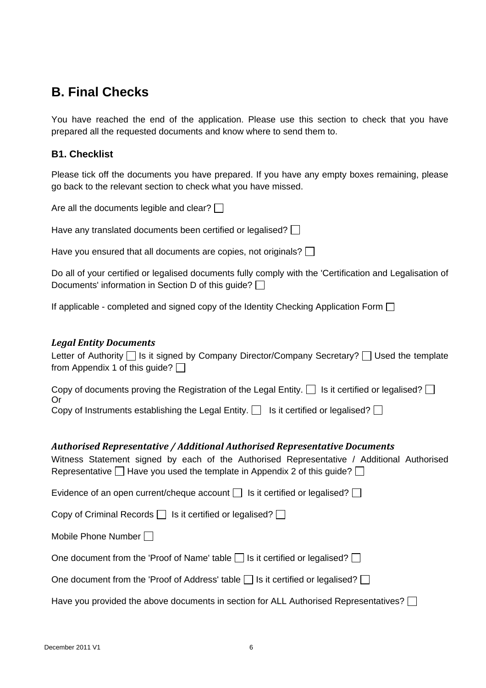## **B. Final Checks**

You have reached the end of the application. Please use this section to check that you have prepared all the requested documents and know where to send them to.

### **B1. Checklist**

Please tick off the documents you have prepared. If you have any empty boxes remaining, please go back to the relevant section to check what you have missed.

| Are all the documents legible and clear? $\square$ |  |
|----------------------------------------------------|--|
|----------------------------------------------------|--|

Have any translated documents been certified or legalised?  $\Box$ 

Have you ensured that all documents are copies, not originals?  $\Box$ 

Do all of your certified or legalised documents fully comply with the 'Certification and Legalisation of Documents' information in Section D of this guide?  $\Box$ 

If applicable - completed and signed copy of the Identity Checking Application Form  $\Box$ 

#### *Legal Entity Documents*

| Letter of Authority □ Is it signed by Company Director/Company Secretary? □ Used the template |
|-----------------------------------------------------------------------------------------------|
| from Appendix 1 of this guide? $\Box$                                                         |

| Copy of documents proving the Registration of the Legal Entity. $\Box$ Is it certified or legalised? $\Box$ |
|-------------------------------------------------------------------------------------------------------------|
| Or.                                                                                                         |
| Copy of Instruments establishing the Legal Entity. $\Box$ Is it certified or legalised? $\Box$              |

### *Authorised Representative / Additional Authorised Representative Documents*

Witness Statement signed by each of the Authorised Representative / Additional Authorised Representative  $\Box$  Have you used the template in Appendix 2 of this guide?  $\Box$ 

Evidence of an open current/cheque account  $\Box$  Is it certified or legalised?  $\Box$ 

Copy of Criminal Records  $\Box$  Is it certified or legalised?  $\Box$ 

Mobile Phone Number  $\Box$ 

| One document from the 'Proof of Name' table $\Box$ Is it certified or legalised? $\Box$ |  |  |  |  |
|-----------------------------------------------------------------------------------------|--|--|--|--|
|-----------------------------------------------------------------------------------------|--|--|--|--|

| One document from the 'Proof of Address' table $\Box$ Is it certified or legalised? $\Box$ |  |  |
|--------------------------------------------------------------------------------------------|--|--|
|                                                                                            |  |  |

Have you provided the above documents in section for ALL Authorised Representatives?  $\Box$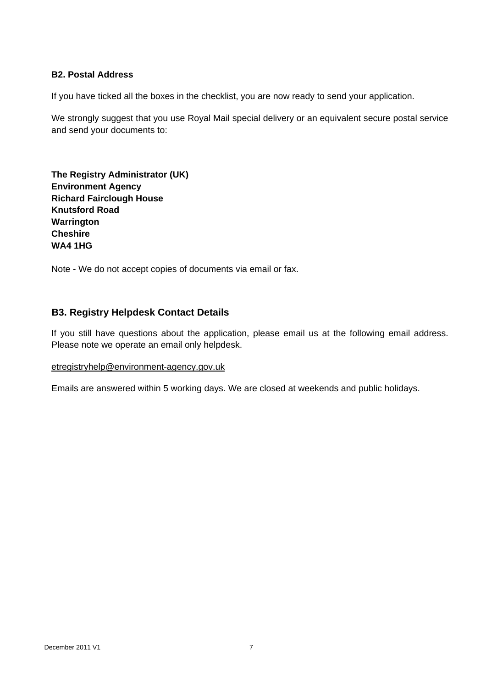#### **B2. Postal Address**

If you have ticked all the boxes in the checklist, you are now ready to send your application.

We strongly suggest that you use Royal Mail special delivery or an equivalent secure postal service and send your documents to:

**The Registry Administrator (UK) Environment Agency Richard Fairclough House Knutsford Road Warrington Cheshire WA4 1HG** 

Note - We do not accept copies of documents via email or fax.

### **B3. Registry Helpdesk Contact Details**

If you still have questions about the application, please email us at the following email address. Please note we operate an email only helpdesk.

#### etregistryhelp@environment-agency.gov.uk

Emails are answered within 5 working days. We are closed at weekends and public holidays.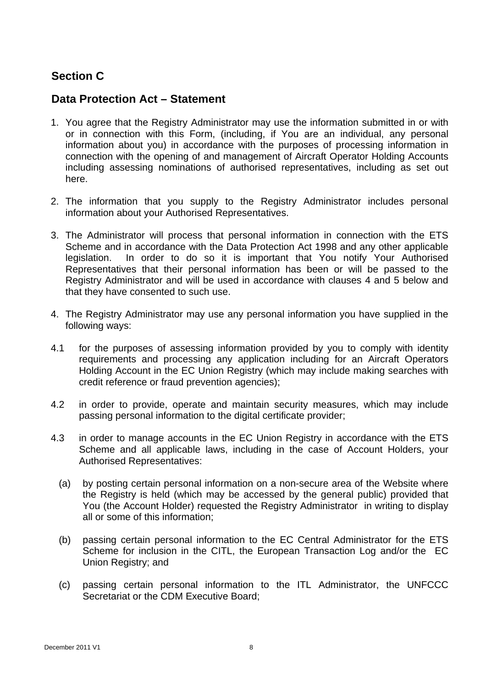## **Section C**

## **Data Protection Act – Statement**

- 1. You agree that the Registry Administrator may use the information submitted in or with or in connection with this Form, (including, if You are an individual, any personal information about you) in accordance with the purposes of processing information in connection with the opening of and management of Aircraft Operator Holding Accounts including assessing nominations of authorised representatives, including as set out here.
- 2. The information that you supply to the Registry Administrator includes personal information about your Authorised Representatives.
- 3. The Administrator will process that personal information in connection with the ETS Scheme and in accordance with the Data Protection Act 1998 and any other applicable legislation. In order to do so it is important that You notify Your Authorised Representatives that their personal information has been or will be passed to the Registry Administrator and will be used in accordance with clauses 4 and 5 below and that they have consented to such use.
- 4. The Registry Administrator may use any personal information you have supplied in the following ways:
- 4.1 for the purposes of assessing information provided by you to comply with identity requirements and processing any application including for an Aircraft Operators Holding Account in the EC Union Registry (which may include making searches with credit reference or fraud prevention agencies);
- 4.2 in order to provide, operate and maintain security measures, which may include passing personal information to the digital certificate provider;
- 4.3 in order to manage accounts in the EC Union Registry in accordance with the ETS Scheme and all applicable laws, including in the case of Account Holders, your Authorised Representatives:
	- (a) by posting certain personal information on a non-secure area of the Website where the Registry is held (which may be accessed by the general public) provided that You (the Account Holder) requested the Registry Administrator in writing to display all or some of this information;
	- (b) passing certain personal information to the EC Central Administrator for the ETS Scheme for inclusion in the CITL, the European Transaction Log and/or the EC Union Registry; and
	- (c) passing certain personal information to the ITL Administrator, the UNFCCC Secretariat or the CDM Executive Board;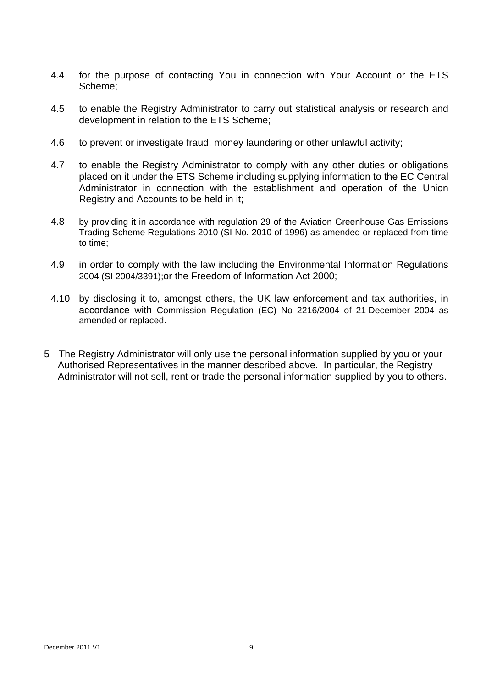- 4.4 for the purpose of contacting You in connection with Your Account or the ETS Scheme;
- 4.5 to enable the Registry Administrator to carry out statistical analysis or research and development in relation to the ETS Scheme;
- 4.6 to prevent or investigate fraud, money laundering or other unlawful activity;
- 4.7 to enable the Registry Administrator to comply with any other duties or obligations placed on it under the ETS Scheme including supplying information to the EC Central Administrator in connection with the establishment and operation of the Union Registry and Accounts to be held in it;
- 4.8 by providing it in accordance with regulation 29 of the Aviation Greenhouse Gas Emissions Trading Scheme Regulations 2010 (SI No. 2010 of 1996) as amended or replaced from time to time;
- 4.9 in order to comply with the law including the Environmental Information Regulations 2004 (SI 2004/3391);or the Freedom of Information Act 2000;
- 4.10 by disclosing it to, amongst others, the UK law enforcement and tax authorities, in accordance with Commission Regulation (EC) No 2216/2004 of 21 December 2004 as amended or replaced.
- 5 The Registry Administrator will only use the personal information supplied by you or your Authorised Representatives in the manner described above. In particular, the Registry Administrator will not sell, rent or trade the personal information supplied by you to others.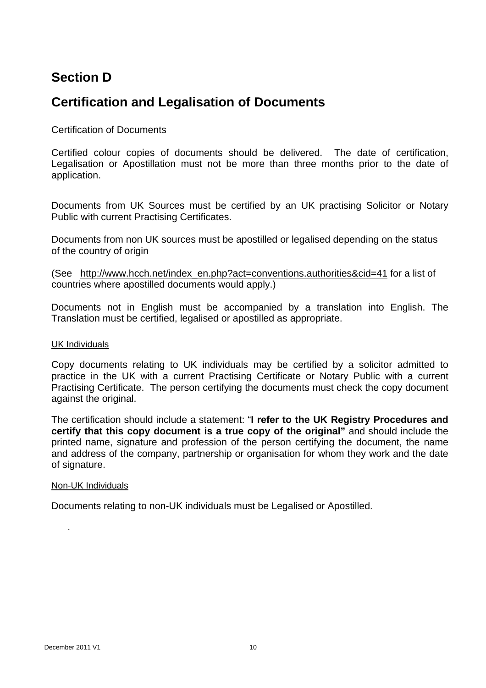## **Section D**

## **Certification and Legalisation of Documents**

### Certification of Documents

Certified colour copies of documents should be delivered. The date of certification, Legalisation or Apostillation must not be more than three months prior to the date of application.

Documents from UK Sources must be certified by an UK practising Solicitor or Notary Public with current Practising Certificates.

Documents from non UK sources must be apostilled or legalised depending on the status of the country of origin

(See http://www.hcch.net/index\_en.php?act=conventions.authorities&cid=41 for a list of countries where apostilled documents would apply.)

Documents not in English must be accompanied by a translation into English. The Translation must be certified, legalised or apostilled as appropriate.

#### UK Individuals

Copy documents relating to UK individuals may be certified by a solicitor admitted to practice in the UK with a current Practising Certificate or Notary Public with a current Practising Certificate. The person certifying the documents must check the copy document against the original.

The certification should include a statement: "**I refer to the UK Registry Procedures and certify that this copy document is a true copy of the original"** and should include the printed name, signature and profession of the person certifying the document, the name and address of the company, partnership or organisation for whom they work and the date of signature.

#### Non-UK Individuals

Documents relating to non-UK individuals must be Legalised or Apostilled.

.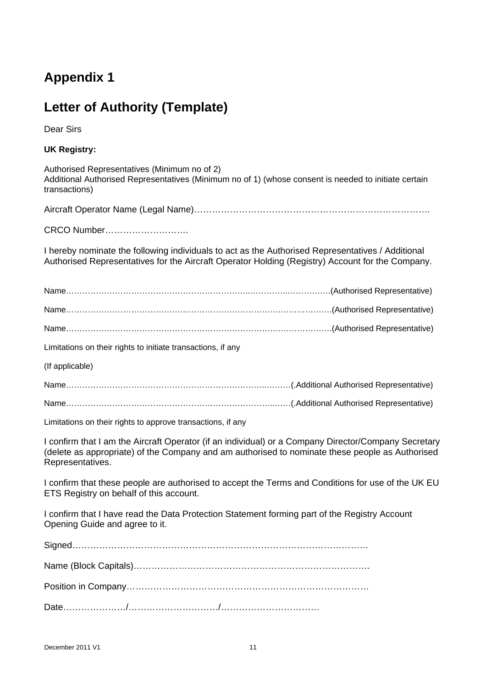# **Appendix 1**

# **Letter of Authority (Template)**

Dear Sirs

**UK Registry:** 

Authorised Representatives (Minimum no of 2) Additional Authorised Representatives (Minimum no of 1) (whose consent is needed to initiate certain transactions)

Aircraft Operator Name (Legal Name)…………………………………………………………………….

CRCO Number……………………….

I hereby nominate the following individuals to act as the Authorised Representatives / Additional Authorised Representatives for the Aircraft Operator Holding (Registry) Account for the Company.

Limitations on their rights to initiate transactions, if any

(If applicable)

Name………………………………………………………………..………(.Additional Authorised Representative)

Name…………………………………………………………………..……(.Additional Authorised Representative)

Limitations on their rights to approve transactions, if any

I confirm that I am the Aircraft Operator (if an individual) or a Company Director/Company Secretary (delete as appropriate) of the Company and am authorised to nominate these people as Authorised Representatives.

I confirm that these people are authorised to accept the Terms and Conditions for use of the UK EU ETS Registry on behalf of this account.

I confirm that I have read the Data Protection Statement forming part of the Registry Account Opening Guide and agree to it.

Signed……………………………………………………………………………………… Name (Block Capitals)……………………………………………………………………. Position in Company……………………………………………………………………… Date…………………/…………………………/……………………………